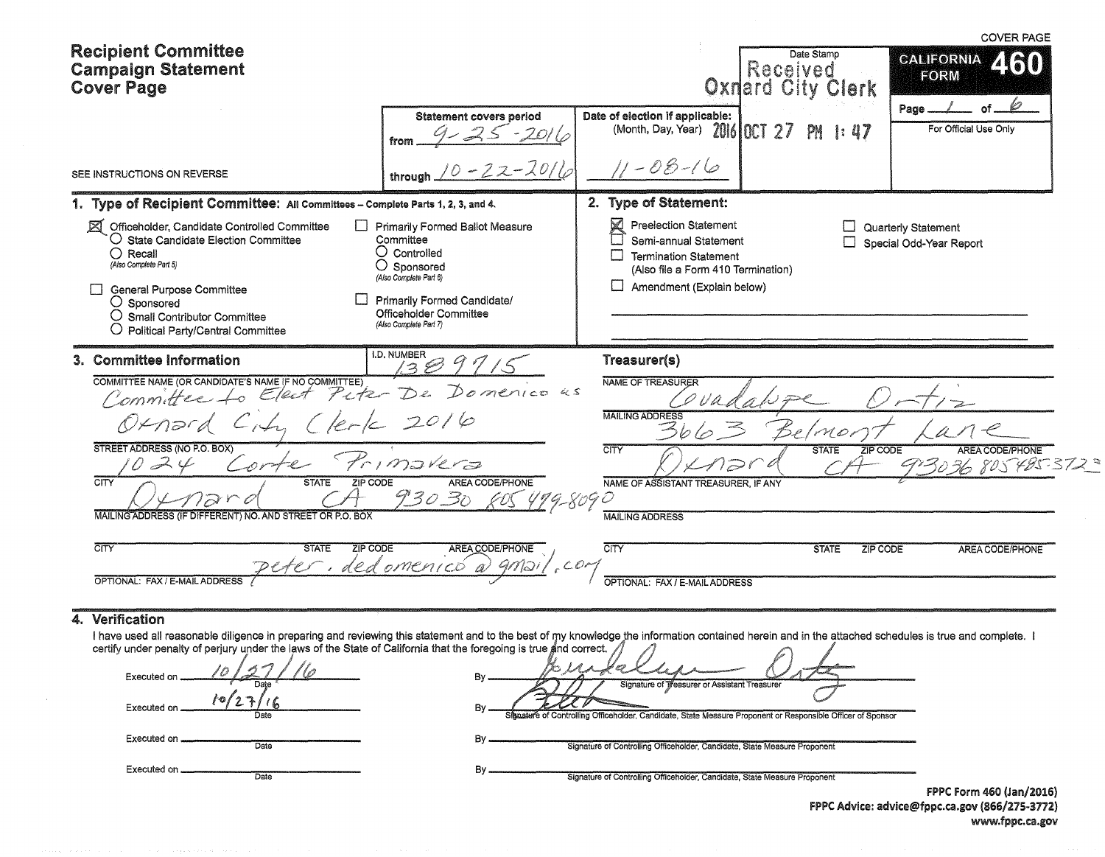| <b>Recipient Committee</b>                                                                                                                                                                                                                                                                            |                                                                                                                                                                                                                   |                                                                                                                                                               | Date Stamp                           | <b>COVER PAGE</b>                                     |
|-------------------------------------------------------------------------------------------------------------------------------------------------------------------------------------------------------------------------------------------------------------------------------------------------------|-------------------------------------------------------------------------------------------------------------------------------------------------------------------------------------------------------------------|---------------------------------------------------------------------------------------------------------------------------------------------------------------|--------------------------------------|-------------------------------------------------------|
| <b>Campaign Statement</b><br><b>Cover Page</b>                                                                                                                                                                                                                                                        |                                                                                                                                                                                                                   |                                                                                                                                                               | Received<br><b>Oxnard City Clerk</b> | <b>CALIFORNIA</b><br><b>FORM</b>                      |
|                                                                                                                                                                                                                                                                                                       | <b>Statement covers period</b><br>from                                                                                                                                                                            | Date of election if applicable:<br>(Month, Day, Year) 2016 001 27                                                                                             | PN<br>$\mathbf{1:} 47$               | Page _<br>For Official Use Only                       |
| SEE INSTRUCTIONS ON REVERSE                                                                                                                                                                                                                                                                           | through                                                                                                                                                                                                           | $11 - 08 - 16$                                                                                                                                                |                                      |                                                       |
| 1. Type of Recipient Committee: All Committees - Complete Parts 1, 2, 3, and 4.                                                                                                                                                                                                                       |                                                                                                                                                                                                                   | 2. Type of Statement:                                                                                                                                         |                                      |                                                       |
| ⊠<br>Officeholder, Candidate Controlled Committee<br>$\mathsf{L}$<br>$\bigcirc$ State Candidate Election Committee<br>$\bigcirc$ Recall<br>(Also Complete Part 5)<br><b>General Purpose Committee</b><br>○ Sponsored<br>$\bigcirc$ Small Contributor Committee<br>○ Political Party/Central Committee | <b>Primarily Formed Ballot Measure</b><br>Committee<br>$\bigcirc$ Controlled<br>$\bigcirc$ Sponsored<br>(Also Complete Part 6)<br>Primarily Formed Candidate/<br>Officeholder Committee<br>(Also Complete Part 7) | K<br><b>Preelection Statement</b><br>Semi-annual Statement<br><b>Termination Statement</b><br>(Also file a Form 410 Termination)<br>Amendment (Explain below) |                                      | <b>Quarterly Statement</b><br>Special Odd-Year Report |
| 3. Committee Information                                                                                                                                                                                                                                                                              | I.D. NUMBER                                                                                                                                                                                                       | Treasurer(s)                                                                                                                                                  |                                      |                                                       |
| COMMITTEE NAME (OR CANDIDATE'S NAME IF NO COMMITTEE)<br>Committee.                                                                                                                                                                                                                                    | Domenico us                                                                                                                                                                                                       | <b>NAME OF TREASURER</b>                                                                                                                                      |                                      |                                                       |
| $Q \nmid n \rhd r d$                                                                                                                                                                                                                                                                                  | 20/6                                                                                                                                                                                                              | <b>MAILING ADDRESS</b>                                                                                                                                        | MO                                   |                                                       |
| STREET ADDRESS (NO P.O. BOX)<br>024                                                                                                                                                                                                                                                                   | mavera                                                                                                                                                                                                            | <b>CITY</b>                                                                                                                                                   | ZIP CODE<br><b>STATE</b>             | <b>AREA CODE/PHONE</b><br>36 805485-372               |
| CITY<br><b>STATE</b><br><b>ZIP CODE</b><br>MAILING ADDRESS (IF DIFFERENT) NO. AND STREET OR P.O. BOX                                                                                                                                                                                                  | AREA CODE/PHONE<br>93030                                                                                                                                                                                          | NAME OF ASSISTANT TREASURER. IF ANY<br>$79 - 8090$<br><b>MAILING ADDRESS</b>                                                                                  |                                      |                                                       |
| टाउर<br><b>STATE</b><br><b>ZIP CODE</b>                                                                                                                                                                                                                                                               | AREA CODE/PHONE                                                                                                                                                                                                   | <b>CITY</b>                                                                                                                                                   | <b>STATE</b><br>ZIP CODE             | AREA CODE/PHONE                                       |
| er, dedomenicó<br>OPTIONAL: FAX / E-MAIL ADDRESS                                                                                                                                                                                                                                                      |                                                                                                                                                                                                                   | OPTIONAL: FAX / E-MAIL ADDRESS                                                                                                                                |                                      |                                                       |

### 4. Verification

I have used all reasonable diligence in preparing and reviewing this statement and to the best of my knowledge the information contained herein and in the attached schedules is true and complete. I certify under penalty o

| Executed on               | Bv                                                                                                                |
|---------------------------|-------------------------------------------------------------------------------------------------------------------|
| Date                      | Signature of Treasurer or Assistant Treasurer                                                                     |
| ŀΟ<br>Executed on<br>Date | By<br>Signature of Controlling Officeholder, Candidate, State Measure Proponent or Responsible Officer of Sponsor |
| Executed on               | By                                                                                                                |
| Date                      | Signature of Controlling Officeholder, Candidate, State Measure Proponent                                         |
| Executed on               | By                                                                                                                |
| Date                      | Signature of Controlling Officeholder, Candidate, State Measure Proponent                                         |

FPPC Form 460 (Jan/2016) FPPC Advice: advice@fppc.ca.gov (866/275-3772) www.fppc.ca.gov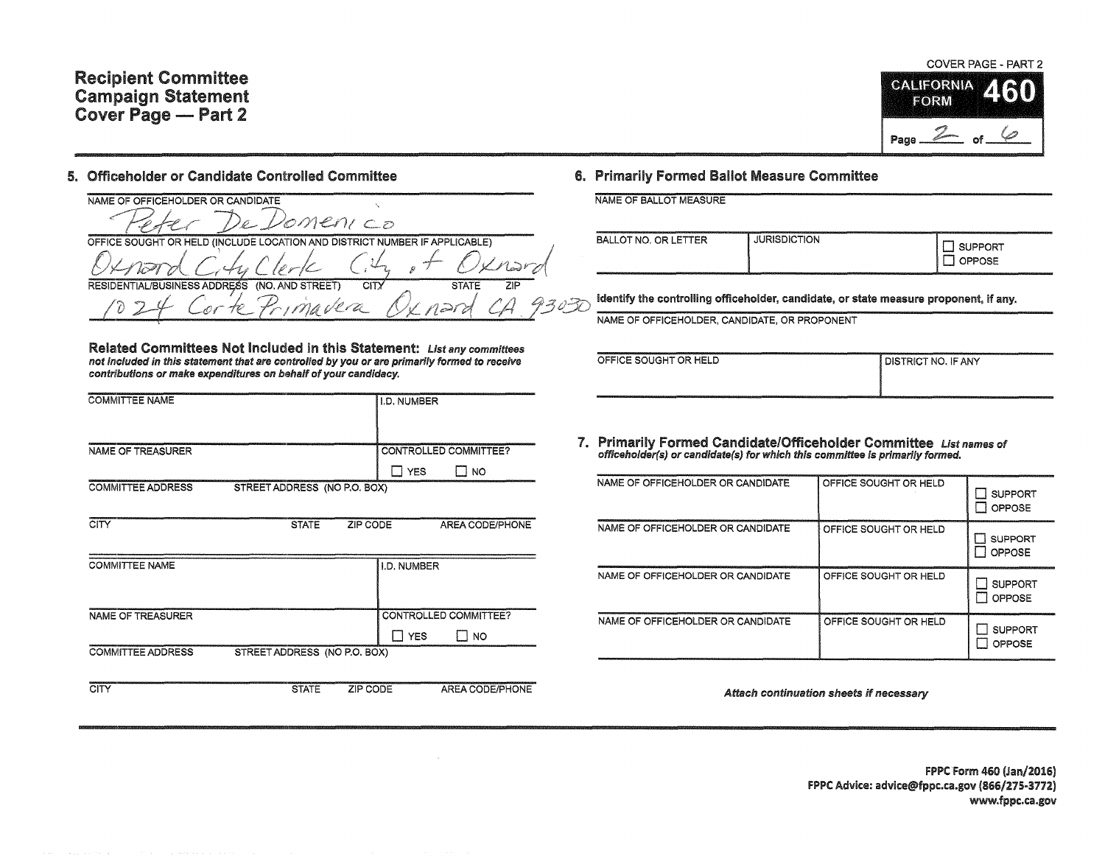# Recipient Committee Campaign Statement Cover Page - Part 2

#### 5. Officeholder or Candidate Controlled Committee

NAME OF OFFICEHOLDER OR CANDIDATE lomeni co OFFICE SOUGHT OR HELD (INCLUDE LOCATION AND DISTRICT NUMBER IF APPLICABLE)  $\ddot{\phantom{1}}$  $\angle$ Nadr RFS (NO. AND STREET) **STATE**  $\overline{ZIP}$ **ISINESS ADDRESS**  $CITY$ 3030 na vera nara

Related Committees Not Included in this Statement: List any committees not included in this statement that are controlled by you or are primarily formed to receive contributions or make expenditures on behalf of your candidacy.

| <b>COMMITTEE NAME</b>    |                              |                 | I.D. NUMBER   |                              |
|--------------------------|------------------------------|-----------------|---------------|------------------------------|
|                          |                              |                 |               |                              |
| <b>NAME OF TREASURER</b> |                              |                 |               | <b>CONTROLLED COMMITTEE?</b> |
|                          |                              |                 | $\Box$ YES    | Π NO                         |
| <b>COMMITTEE ADDRESS</b> | STREET ADDRESS (NO P.O. BOX) |                 |               |                              |
|                          |                              |                 |               |                              |
| CITY                     | <b>STATE</b>                 | ZIP CODE        |               | AREA CODE/PHONE              |
|                          |                              |                 |               |                              |
| <b>COMMITTEE NAME</b>    |                              |                 | I.D. NUMBER   |                              |
|                          |                              |                 |               |                              |
|                          |                              |                 |               |                              |
| NAME OF TREASURER        |                              |                 |               | <b>CONTROLLED COMMITTEE?</b> |
|                          |                              |                 | <b>TT YES</b> | <b>NO</b>                    |
| <b>COMMITTEE ADDRESS</b> | STREET ADDRESS (NO P.O. BOX) |                 |               |                              |
|                          |                              |                 |               |                              |
| <b>CITY</b>              | <b>STATE</b>                 | <b>ZIP CODE</b> |               | AREA CODE/PHONE              |

## 6. Primarily Formed Ballot Measure Committee

|  |  |  | NAME OF BALLOT MEASURE |
|--|--|--|------------------------|
|--|--|--|------------------------|

| <b>BALLOT NO. OR LETTER</b> | <b>JURISDICTION</b> | SUPPORT<br>J OPPOSE |
|-----------------------------|---------------------|---------------------|
|-----------------------------|---------------------|---------------------|

Identify the controlling officeholder, candidate, or state measure proponent, if any.

NAME OF OFFICEHOLDER, CANDIDATE, OR PROPONENT

| OFFICE SOUGHT OR HELD | <b>I DISTRICT NO. IF ANY</b> |
|-----------------------|------------------------------|
|                       |                              |
|                       |                              |

7. Primarily Formed Candidate/Officeholder Committee List names of officeholder(s) or candldate(s) for which this committee Is primarily formed.

| NAME OF OFFICEHOLDER OR CANDIDATE | OFFICE SOUGHT OR HELD | <b>SUPPORT</b><br>OPPOSE        |
|-----------------------------------|-----------------------|---------------------------------|
| NAME OF OFFICEHOLDER OR CANDIDATE | OFFICE SOUGHT OR HELD | <b>SUPPORT</b><br>OPPOSE        |
| NAME OF OFFICEHOLDER OR CANDIDATE | OFFICE SOUGHT OR HELD | <b>SUPPORT</b><br><b>OPPOSE</b> |
| NAME OF OFFICEHOLDER OR CANDIDATE | OFFICE SOUGHT OR HELD | <b>SUPPORT</b><br>OPPOSE        |

Attach continuation sheets if necessary

 $\bullet$ 

FPPC Form 460 (Jan/2016) FPPC Advice: advice@fppc.ca.gov (866/275-3772) www.fppc.ca.gov

COVER PAGE - PART 2

**CALIFORNIA** 

FORM

Page

La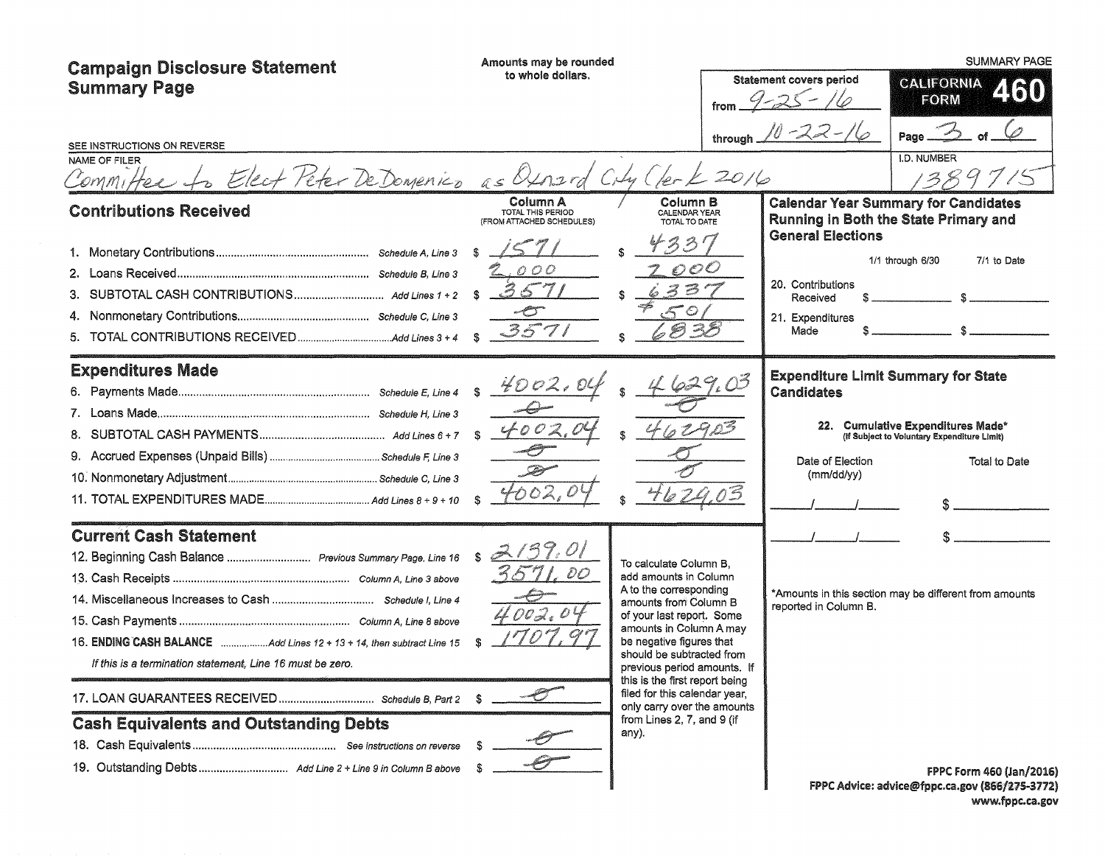| <b>Campaign Disclosure Statement</b><br><b>Summary Page</b><br>SEE INSTRUCTIONS ON REVERSE<br>NAME OF FILER<br>Committee to Elect Peter DeDomenico as Quard City Clerk 2016<br><b>Contributions Received</b> | Amounts may be rounded<br>to whole dollars.<br>Column A<br>TOTAL THIS PERIOD<br>(FROM ATTACHED SCHEDULES) | from<br>Column B<br>CALENDAR YEAR<br>TOTAL TO DATE                                                                                                                                                                                                                                                                                                                                          | <b>Statement covers period</b><br>$9 - 25 - 110$<br>through $10 - 22 - 16$<br><b>General Elections</b> | <b>SUMMARY PAGE</b><br><b>CALIFORNIA</b><br>460<br><b>FORM</b><br>Page<br>I.D. NUMBER<br>134<br><b>Calendar Year Summary for Candidates</b><br>Running in Both the State Primary and<br>7/1 to Date<br>1/1 through 6/30 |
|--------------------------------------------------------------------------------------------------------------------------------------------------------------------------------------------------------------|-----------------------------------------------------------------------------------------------------------|---------------------------------------------------------------------------------------------------------------------------------------------------------------------------------------------------------------------------------------------------------------------------------------------------------------------------------------------------------------------------------------------|--------------------------------------------------------------------------------------------------------|-------------------------------------------------------------------------------------------------------------------------------------------------------------------------------------------------------------------------|
|                                                                                                                                                                                                              | 2.000<br>36<br>a Pinto<br>* 7 I                                                                           | $\mathcal{O} \mathcal{O} \mathcal{O}$<br>骉                                                                                                                                                                                                                                                                                                                                                  | 20. Contributions<br>Received<br>21. Expenditures<br>Made                                              |                                                                                                                                                                                                                         |
| <b>Expenditures Made</b>                                                                                                                                                                                     | 4002,00                                                                                                   |                                                                                                                                                                                                                                                                                                                                                                                             | <b>Candidates</b><br>Date of Election<br>(mm/dd/yy)                                                    | <b>Expenditure Limit Summary for State</b><br>22. Cumulative Expenditures Made*<br>(If Subject to Voluntary Expenditure Limit)<br>Total to Date                                                                         |
| <b>Current Cash Statement</b><br>12. Beginning Cash Balance  Previous Summary Page, Line 16<br>If this is a termination statement, Line 16 must be zero.<br><b>Cash Equivalents and Outstanding Debts</b>    | 2137.01<br>DO<br>$\mathcal{O}\mathcal{O}\mathcal{A}$ , $\mathcal{O}\mathcal{A}$                           | To calculate Column B,<br>add amounts in Column<br>A to the corresponding<br>amounts from Column B<br>of your last report. Some<br>amounts in Column A may<br>be negative figures that<br>should be subtracted from<br>previous period amounts. If<br>this is the first report being<br>filed for this calendar year.<br>only carry over the amounts<br>from Lines 2, 7, and 9 (if<br>any). | reported in Column B.                                                                                  | *Amounts in this section may be different from amounts                                                                                                                                                                  |
|                                                                                                                                                                                                              |                                                                                                           |                                                                                                                                                                                                                                                                                                                                                                                             |                                                                                                        | FPPC Form 460 (Jan/2016)<br>FPPC Advice: advice@fppc.ca.gov (866/275-3772)                                                                                                                                              |

www.fppc.ca.gov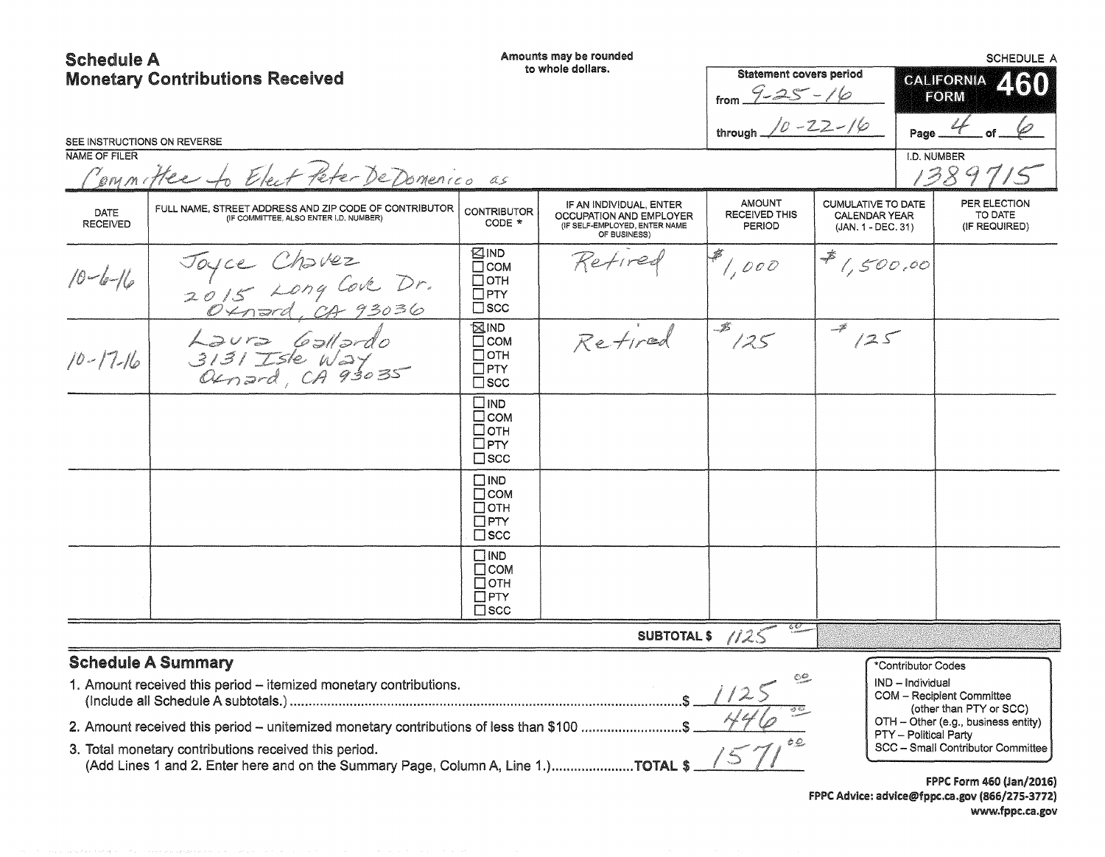# Schedule A

Amounts may be rounded

| OUIGUUIG M<br><b>Monetary Contributions Received</b><br>SEE INSTRUCTIONS ON REVERSE |                                                                                                                                                                                                                                                                                                                                           |                                                                             | to whole dollars.                                                                                   | <b>Statement covers period</b><br>from $9 - 25 - 16$<br>through $10 - 22 - 16$ | Page                                                                      |                                                                 | CALIFORNIA<br>460<br><b>FORM</b>                                                                                                 |  |
|-------------------------------------------------------------------------------------|-------------------------------------------------------------------------------------------------------------------------------------------------------------------------------------------------------------------------------------------------------------------------------------------------------------------------------------------|-----------------------------------------------------------------------------|-----------------------------------------------------------------------------------------------------|--------------------------------------------------------------------------------|---------------------------------------------------------------------------|-----------------------------------------------------------------|----------------------------------------------------------------------------------------------------------------------------------|--|
| <b>NAME OF FILER</b>                                                                | Committee to Elect Peter De Domenico as                                                                                                                                                                                                                                                                                                   |                                                                             |                                                                                                     |                                                                                |                                                                           | I.D. NUMBER                                                     | 1389715                                                                                                                          |  |
| DATE<br><b>RECEIVED</b>                                                             | FULL NAME, STREET ADDRESS AND ZIP CODE OF CONTRIBUTOR<br>(IF COMMITTEE, ALSO ENTER I,D. NUMBER)                                                                                                                                                                                                                                           | <b>CONTRIBUTOR</b><br>CODE *                                                | IF AN INDIVIDUAL, ENTER<br>OCCUPATION AND EMPLOYER<br>(IF SELF-EMPLOYED, ENTER NAME<br>OF BUSINESS) | <b>AMOUNT</b><br><b>RECEIVED THIS</b><br><b>PERIOD</b>                         | <b>CUMULATIVE TO DATE</b><br><b>CALENDAR YEAR</b><br>$(JAN. 1 - DEC. 31)$ |                                                                 | PER ELECTION<br>TO DATE<br>(IF REQUIRED)                                                                                         |  |
| $10 - 6 - 16$                                                                       | Joyce Chavez<br>2015 Long Cove Dr.<br>2015 Long Car 93036                                                                                                                                                                                                                                                                                 | KIND<br>$\Box$ COM<br>$\Box$ OTH<br>$\Box$ PTY<br>$\square$ scc             | Refired                                                                                             | $\frac{1}{2}$ , 000                                                            | $\frac{1}{2}$ 1,500.00                                                    |                                                                 |                                                                                                                                  |  |
| $10 - 17 - 16$                                                                      | $\begin{array}{rcl} \n\text{Ləvrə} & \text{Gəllərdo} \\ \n3131 \text{Işle Wəy} \\ \n0 & \text{Ounərd} \\ \n\end{array}$                                                                                                                                                                                                                   | ⊠IND<br>$\square$ COM<br>$\Box$ OTH<br>$\Box$ PTY<br>$\square$ scc          | Retired                                                                                             | $\frac{1}{3}$                                                                  | 125                                                                       |                                                                 |                                                                                                                                  |  |
|                                                                                     |                                                                                                                                                                                                                                                                                                                                           | $\square$ IND<br>$\Box$ COM<br>□отн<br>$\square$ PTY<br>$\square$ SCC       |                                                                                                     |                                                                                |                                                                           |                                                                 |                                                                                                                                  |  |
|                                                                                     |                                                                                                                                                                                                                                                                                                                                           | $\square$ IND<br>$\Box$ COM<br>$\Box$ OTH<br>$\square$ PTY<br>$\square$ scc |                                                                                                     |                                                                                |                                                                           |                                                                 |                                                                                                                                  |  |
|                                                                                     |                                                                                                                                                                                                                                                                                                                                           | $\square$ IND<br>$\Box$ COM<br>$\Box$ OTH<br>$\Box$ PTY<br>$\square$ scc    |                                                                                                     |                                                                                |                                                                           |                                                                 |                                                                                                                                  |  |
|                                                                                     |                                                                                                                                                                                                                                                                                                                                           |                                                                             |                                                                                                     | SUBTOTALS //25                                                                 |                                                                           |                                                                 |                                                                                                                                  |  |
|                                                                                     | <b>Schedule A Summary</b><br>1. Amount received this period - itemized monetary contributions.<br>2. Amount received this period - unitemized monetary contributions of less than \$100 \$<br>3. Total monetary contributions received this period.<br>(Add Lines 1 and 2. Enter here and on the Summary Page, Column A, Line 1.)TOTAL \$ |                                                                             |                                                                                                     | <b>COLUMN 18</b>                                                               |                                                                           | *Contributor Codes<br>IND - Individual<br>PTY - Political Party | COM - Recipient Committee<br>(other than PTY or SCC)<br>OTH - Other (e.g., business entity)<br>SCC - Small Contributor Committee |  |
|                                                                                     |                                                                                                                                                                                                                                                                                                                                           |                                                                             |                                                                                                     |                                                                                |                                                                           |                                                                 | FPPC Form 460 (Jan/2016)<br>FPPC Advice: advice@fppc.ca.gov (866/275-3772)<br>www.fppc.ca.gov                                    |  |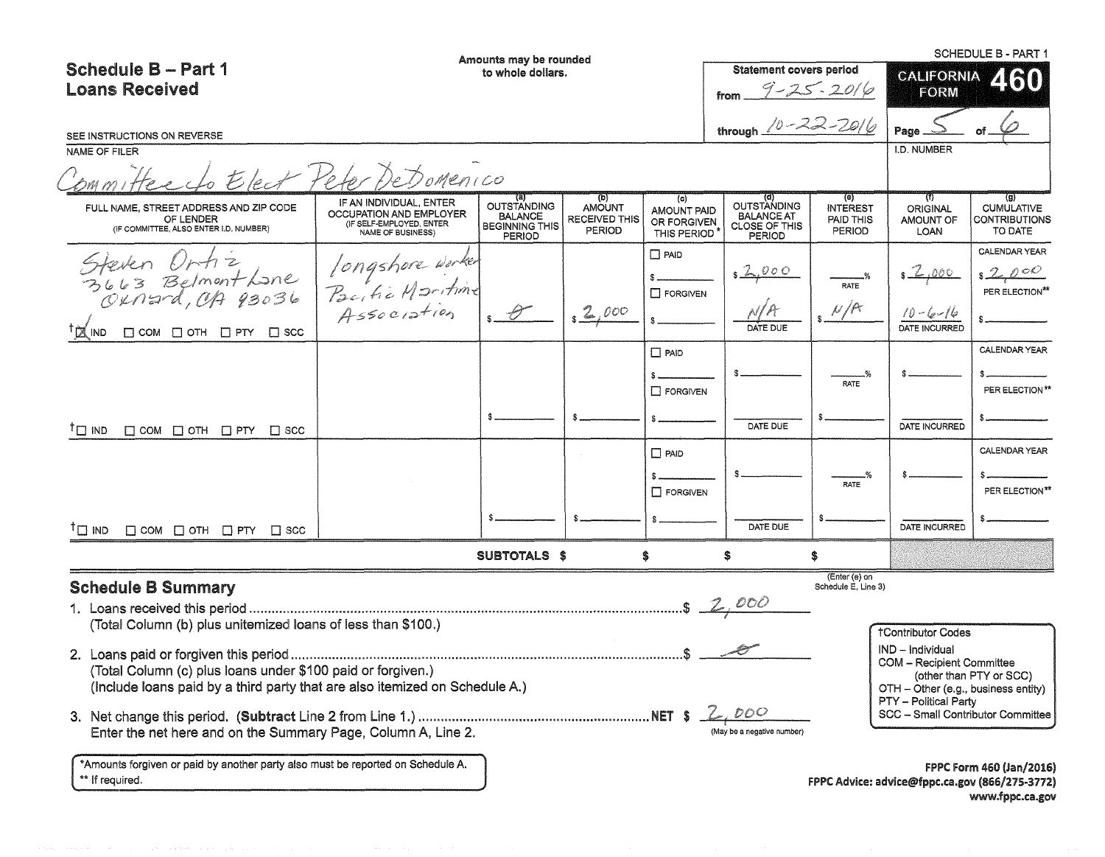|                                                                                               |                                                                                                     | Amounts may be rounded                                                         |                                                        |                                                         |                                                                    |                                                           |                                                              | <b>SCHEDULE B - PART 1</b>                                                |
|-----------------------------------------------------------------------------------------------|-----------------------------------------------------------------------------------------------------|--------------------------------------------------------------------------------|--------------------------------------------------------|---------------------------------------------------------|--------------------------------------------------------------------|-----------------------------------------------------------|--------------------------------------------------------------|---------------------------------------------------------------------------|
| <b>Schedule B-Part 1</b>                                                                      |                                                                                                     | to whole dollars.                                                              |                                                        |                                                         | <b>Statement covers period</b>                                     |                                                           | <b>CALIFORNIA</b>                                            | <b>ZIETOT</b>                                                             |
| <b>Loans Received</b>                                                                         | $9 - 25 - 2016$                                                                                     |                                                                                |                                                        |                                                         |                                                                    | <b>FORM</b>                                               |                                                              |                                                                           |
| SEE INSTRUCTIONS ON REVERSE                                                                   |                                                                                                     |                                                                                |                                                        |                                                         | through $10 - 22 - 2016$                                           |                                                           | Page.                                                        |                                                                           |
| NAME OF FILER                                                                                 |                                                                                                     |                                                                                |                                                        |                                                         |                                                                    |                                                           | I.D. NUMBER                                                  |                                                                           |
|                                                                                               | Elect Peter DeDomenico                                                                              |                                                                                |                                                        |                                                         |                                                                    |                                                           |                                                              |                                                                           |
| FULL NAME, STREET ADDRESS AND ZIP CODE<br>OF LENDER<br>(IF COMMITTEE, ALSO ENTER I.D. NUMBER) | IF AN INDIVIDUAL, ENTER<br>OCCUPATION AND EMPLOYER<br>(IF SELF-EMPLOYED, ENTER<br>NAME OF BUSINESS) | (a)<br><b>OUTSTANDING</b><br><b>BALANCE</b><br><b>BEGINNING THIS</b><br>PERIOD | (b)<br><b>AMOUNT</b><br><b>RECEIVED THIS</b><br>PERIOD | (c)<br><b>AMOUNT PAID</b><br>OR FORGIVEN<br>THIS PERIOD | <b>OUTSTANDING</b><br><b>BALANCE AT</b><br>CLOSE OF THIS<br>PERIOD | $\Theta$<br><b>INTEREST</b><br>PAID THIS<br><b>PERIOD</b> | $^{(1)}$<br><b>ORIGINAL</b><br>AMOUNT OF<br>LOAN             | $\left( 9\right)$<br><b>CUMULATIVE</b><br><b>CONTRIBUTIONS</b><br>TO DATE |
|                                                                                               |                                                                                                     |                                                                                |                                                        | $\Box$ PAID                                             |                                                                    |                                                           |                                                              | CALENDAR YEAR                                                             |
| Steven Untiz<br>3663 Belmont Lane<br>Oxnard, CA 93036                                         |                                                                                                     |                                                                                |                                                        |                                                         | 2,000                                                              |                                                           | <u>-6,000</u>                                                | s2000                                                                     |
|                                                                                               |                                                                                                     |                                                                                |                                                        | $\Box$ FORGIVEN                                         |                                                                    | RATE                                                      |                                                              | PER ELECTION**                                                            |
|                                                                                               | Iongshore worker<br>Pacific Maritime<br>Association                                                 | $s \rightarrow$                                                                | 2,000                                                  |                                                         |                                                                    | N/R                                                       |                                                              |                                                                           |
| <sup>T</sup> Z IND<br>$\Box$ COM $\Box$ OTH $\Box$ PTY $\Box$ SCC                             |                                                                                                     |                                                                                |                                                        |                                                         |                                                                    |                                                           |                                                              |                                                                           |
|                                                                                               |                                                                                                     |                                                                                |                                                        | $\Box$ PAID                                             |                                                                    |                                                           |                                                              | CALENDAR YEAR                                                             |
|                                                                                               |                                                                                                     |                                                                                |                                                        |                                                         |                                                                    | RATE                                                      |                                                              |                                                                           |
|                                                                                               |                                                                                                     |                                                                                |                                                        | $\Box$ FORGIVEN                                         |                                                                    |                                                           |                                                              | PER ELECTION**                                                            |
|                                                                                               |                                                                                                     |                                                                                |                                                        |                                                         |                                                                    |                                                           |                                                              |                                                                           |
| <sup>T</sup> □ IND<br>$\Box$ COM $\Box$ OTH $\Box$ PTY $\Box$ SCC                             |                                                                                                     |                                                                                |                                                        |                                                         | DATE DUE                                                           |                                                           | DATE INCURRED                                                |                                                                           |
|                                                                                               |                                                                                                     |                                                                                |                                                        | $\Box$ PAID                                             |                                                                    |                                                           |                                                              | CALENDAR YEAR                                                             |
|                                                                                               |                                                                                                     |                                                                                |                                                        |                                                         |                                                                    |                                                           |                                                              |                                                                           |
|                                                                                               |                                                                                                     |                                                                                |                                                        | $\Box$ FORGIVEN                                         |                                                                    | RATE                                                      |                                                              | PER ELECTION**                                                            |
|                                                                                               |                                                                                                     |                                                                                |                                                        |                                                         |                                                                    |                                                           |                                                              |                                                                           |
| $\Box$ COM $\Box$ OTH $\Box$ PTY $\Box$ SCC<br>ΤП<br><b>IND</b>                               |                                                                                                     |                                                                                |                                                        |                                                         | DATE DUE                                                           |                                                           | DATE INCURRED                                                |                                                                           |
|                                                                                               |                                                                                                     | SUBTOTALS \$                                                                   |                                                        | \$                                                      | \$                                                                 | \$                                                        |                                                              |                                                                           |
| <b>Schedule B Summary</b>                                                                     |                                                                                                     |                                                                                |                                                        |                                                         |                                                                    | (Enter (e) on<br>Schedule E. Line 3)                      |                                                              |                                                                           |
|                                                                                               |                                                                                                     |                                                                                |                                                        |                                                         | .5200                                                              |                                                           |                                                              |                                                                           |
| (Total Column (b) plus unitemized loans of less than \$100.)                                  |                                                                                                     |                                                                                |                                                        |                                                         |                                                                    |                                                           |                                                              |                                                                           |
|                                                                                               |                                                                                                     |                                                                                |                                                        |                                                         |                                                                    |                                                           | <b>†Contributor Codes</b>                                    |                                                                           |
|                                                                                               |                                                                                                     |                                                                                |                                                        |                                                         |                                                                    |                                                           | IND - Individual<br><b>COM - Recipient Committee</b>         |                                                                           |
| (Total Column (c) plus loans under \$100 paid or forgiven.)                                   |                                                                                                     |                                                                                |                                                        |                                                         |                                                                    |                                                           |                                                              | (other than PTY or SCC)                                                   |
| (Include loans paid by a third party that are also itemized on Schedule A.)                   |                                                                                                     |                                                                                |                                                        |                                                         |                                                                    |                                                           | OTH - Other (e.g., business entity)<br>PTY - Political Party |                                                                           |
|                                                                                               |                                                                                                     |                                                                                |                                                        |                                                         | DOC                                                                |                                                           | SCC - Small Contributor Committee                            |                                                                           |
| Enter the net here and on the Summary Page, Column A, Line 2.                                 |                                                                                                     |                                                                                |                                                        |                                                         | (May be a negative number                                          |                                                           |                                                              |                                                                           |
| *Amounts forgiven or paid by another party also must be reported on Schedule A.               |                                                                                                     |                                                                                |                                                        |                                                         |                                                                    |                                                           |                                                              | FPPC Form 460 (Jan/2016)                                                  |
| ** If required.                                                                               |                                                                                                     |                                                                                |                                                        |                                                         |                                                                    |                                                           | FPPC Advice: advice@fppc.ca.gov (866/275-3772)               |                                                                           |
|                                                                                               |                                                                                                     |                                                                                |                                                        |                                                         |                                                                    |                                                           |                                                              | www.fppc.ca.gov                                                           |